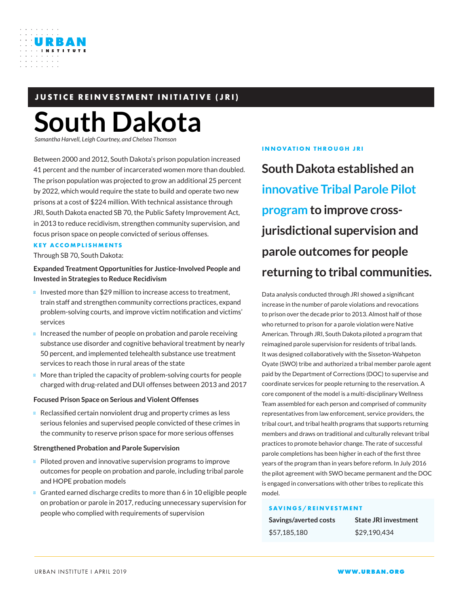

## **JUSTICE REINVESTMENT INITIATIVE (JRI)**

# **South Dakota**

*Samantha Harvell, Leigh Courtney, and Chelsea Thomso* 

Between 2000 and 2012, South Dakota's prison population increased 41 percent and the number of incarcerated women more than doubled. The prison population was projected to grow an additional 25 percent by 2022, which would require the state to build and operate two new prisons at a cost of \$224 million. With technical assistance through JRI, South Dakota enacted SB 70, the Public Safety Improvement Act, in 2013 to reduce recidivism, strengthen community supervision, and focus prison space on people convicted of serious offenses.

#### **KEY ACCOMPLISHMENTS**

Through SB 70, South Dakota:

#### **Expanded Treatment Opportunities for Justice-Involved People and Invested in Strategies to Reduce Recidivism**

Invested more than \$29 million to increase access to treatment, train staff and strengthen community corrections practices, expand problem-solving courts, and improve victim notification and victims' services

Increased the number of people on probation and parole receiving substance use disorder and cognitive behavioral treatment by nearly 50 percent, and implemented telehealth substance use treatment services to reach those in rural areas of the state

More than tripled the capacity of problem-solving courts for people charged with drug-related and DUI offenses between 2013 and 2017

#### **Focused Prison Space on Serious and Violent Offenses**

Reclassified certain nonviolent drug and property crimes as less serious felonies and supervised people convicted of these crimes in the community to reserve prison space for more serious offenses

#### **Strengthened Probation and Parole Supervision**

Piloted proven and innovative supervision programs to improve outcomes for people on probation and parole, including tribal parole and HOPE probation models

Granted earned discharge credits to more than 6 in 10 eligible people on probation or parole in 2017, reducing unnecessary supervision for people who complied with requirements of supervision

#### **INNOVATION THROUGH JRI**

**South Dakota established an innovative Tribal Parole Pilot program to improve crossjurisdictional supervision and parole outcomes for people returning to tribal communities.**

Data analysis conducted through JRI showed a significant increase in the number of parole violations and revocations to prison over the decade prior to 2013. Almost half of those who returned to prison for a parole violation were Native American. Through JRI, South Dakota piloted a program that reimagined parole supervision for residents of tribal lands. It was designed collaboratively with the Sisseton-Wahpeton Oyate (SWO) tribe and authorized a tribal member parole agent paid by the Department of Corrections (DOC) to supervise and coordinate services for people returning to the reservation. A core component of the model is a multi-disciplinary Wellness Team assembled for each person and comprised of community representatives from law enforcement, service providers, the tribal court, and tribal health programs that supports returning members and draws on traditional and culturally relevant tribal practices to promote behavior change. The rate of successful parole completions has been higher in each of the first three years of the program than in years before reform. In July 2016 the pilot agreement with SWO became permanent and the DOC is engaged in conversations with other tribes to replicate this model.

#### **SAVINGS/REINVESTMENT**

| Savings/averted costs | <b>State JRI investment</b> |
|-----------------------|-----------------------------|
| \$57,185,180          | \$29.190.434                |